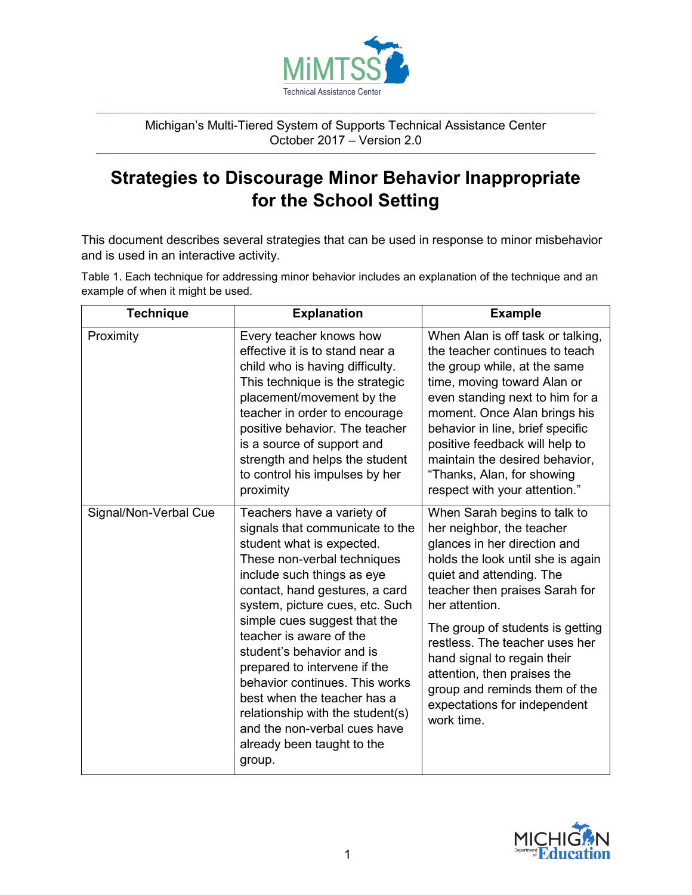

Michigan's Multi-Tiered System of Supports Technical Assistance Center October 2017 – Version 2.0

## **Strategies to Discourage Minor Behavior Inappropriate for the School Setting**

This document describes several strategies that can be used in response to minor misbehavior and is used in an interactive activity.

Table 1. Each technique for addressing minor behavior includes an explanation of the technique and an example of when it might be used.

| <b>Technique</b>      | <b>Explanation</b>                                                                                                                                                                                                                                                                                                                                                                                                                                                                                                                | <b>Example</b>                                                                                                                                                                                                                                                                                                                                                               |
|-----------------------|-----------------------------------------------------------------------------------------------------------------------------------------------------------------------------------------------------------------------------------------------------------------------------------------------------------------------------------------------------------------------------------------------------------------------------------------------------------------------------------------------------------------------------------|------------------------------------------------------------------------------------------------------------------------------------------------------------------------------------------------------------------------------------------------------------------------------------------------------------------------------------------------------------------------------|
| Proximity             | Every teacher knows how<br>effective it is to stand near a<br>child who is having difficulty.<br>This technique is the strategic<br>placement/movement by the<br>teacher in order to encourage<br>positive behavior. The teacher<br>is a source of support and<br>strength and helps the student<br>to control his impulses by her<br>proximity                                                                                                                                                                                   | When Alan is off task or talking,<br>the teacher continues to teach<br>the group while, at the same<br>time, moving toward Alan or<br>even standing next to him for a<br>moment. Once Alan brings his<br>behavior in line, brief specific<br>positive feedback will help to<br>maintain the desired behavior,<br>"Thanks, Alan, for showing<br>respect with your attention." |
| Signal/Non-Verbal Cue | Teachers have a variety of<br>signals that communicate to the<br>student what is expected.<br>These non-verbal techniques<br>include such things as eye<br>contact, hand gestures, a card<br>system, picture cues, etc. Such<br>simple cues suggest that the<br>teacher is aware of the<br>student's behavior and is<br>prepared to intervene if the<br>behavior continues. This works<br>best when the teacher has a<br>relationship with the student(s)<br>and the non-verbal cues have<br>already been taught to the<br>group. | When Sarah begins to talk to<br>her neighbor, the teacher<br>glances in her direction and<br>holds the look until she is again<br>quiet and attending. The<br>teacher then praises Sarah for<br>her attention.                                                                                                                                                               |
|                       |                                                                                                                                                                                                                                                                                                                                                                                                                                                                                                                                   | The group of students is getting<br>restless. The teacher uses her<br>hand signal to regain their<br>attention, then praises the<br>group and reminds them of the<br>expectations for independent<br>work time.                                                                                                                                                              |

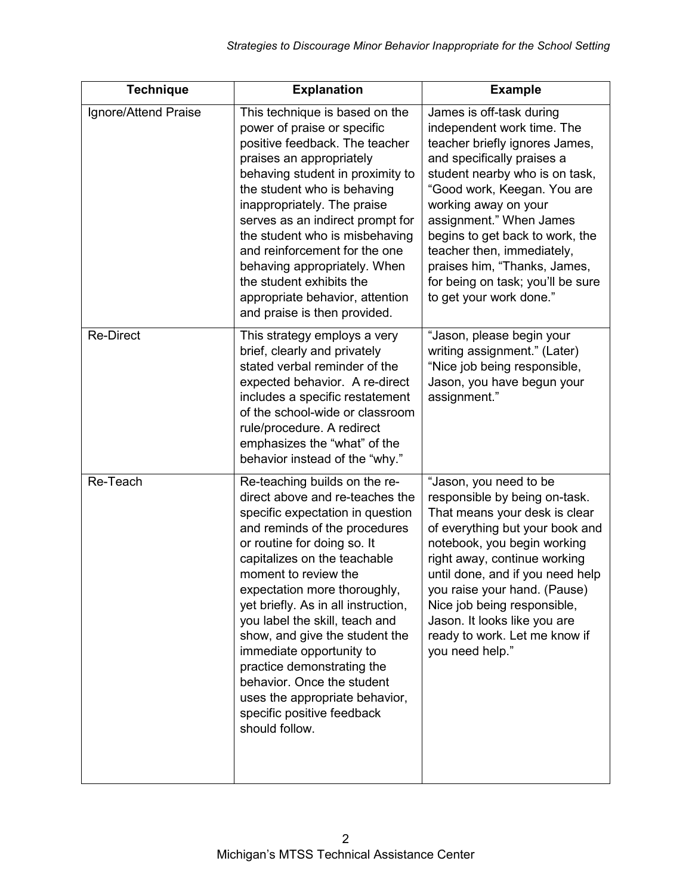| <b>Technique</b>     | <b>Explanation</b>                                                                                                                                                                                                                                                                                                                                                                                                                                                                                                                                | <b>Example</b>                                                                                                                                                                                                                                                                                                                                                                                              |
|----------------------|---------------------------------------------------------------------------------------------------------------------------------------------------------------------------------------------------------------------------------------------------------------------------------------------------------------------------------------------------------------------------------------------------------------------------------------------------------------------------------------------------------------------------------------------------|-------------------------------------------------------------------------------------------------------------------------------------------------------------------------------------------------------------------------------------------------------------------------------------------------------------------------------------------------------------------------------------------------------------|
| Ignore/Attend Praise | This technique is based on the<br>power of praise or specific<br>positive feedback. The teacher<br>praises an appropriately<br>behaving student in proximity to<br>the student who is behaving<br>inappropriately. The praise<br>serves as an indirect prompt for<br>the student who is misbehaving<br>and reinforcement for the one<br>behaving appropriately. When<br>the student exhibits the<br>appropriate behavior, attention<br>and praise is then provided.                                                                               | James is off-task during<br>independent work time. The<br>teacher briefly ignores James,<br>and specifically praises a<br>student nearby who is on task,<br>"Good work, Keegan. You are<br>working away on your<br>assignment." When James<br>begins to get back to work, the<br>teacher then, immediately,<br>praises him, "Thanks, James,<br>for being on task; you'll be sure<br>to get your work done." |
| <b>Re-Direct</b>     | This strategy employs a very<br>brief, clearly and privately<br>stated verbal reminder of the<br>expected behavior. A re-direct<br>includes a specific restatement<br>of the school-wide or classroom<br>rule/procedure. A redirect<br>emphasizes the "what" of the<br>behavior instead of the "why."                                                                                                                                                                                                                                             | "Jason, please begin your<br>writing assignment." (Later)<br>"Nice job being responsible,<br>Jason, you have begun your<br>assignment."                                                                                                                                                                                                                                                                     |
| Re-Teach             | Re-teaching builds on the re-<br>direct above and re-teaches the<br>specific expectation in question<br>and reminds of the procedures<br>or routine for doing so. It<br>capitalizes on the teachable<br>moment to review the<br>expectation more thoroughly,<br>yet briefly. As in all instruction,<br>you label the skill, teach and<br>show, and give the student the<br>immediate opportunity to<br>practice demonstrating the<br>behavior. Once the student<br>uses the appropriate behavior,<br>specific positive feedback<br>should follow. | "Jason, you need to be<br>responsible by being on-task.<br>That means your desk is clear<br>of everything but your book and<br>notebook, you begin working<br>right away, continue working<br>until done, and if you need help<br>you raise your hand. (Pause)<br>Nice job being responsible,<br>Jason. It looks like you are<br>ready to work. Let me know if<br>you need help."                           |